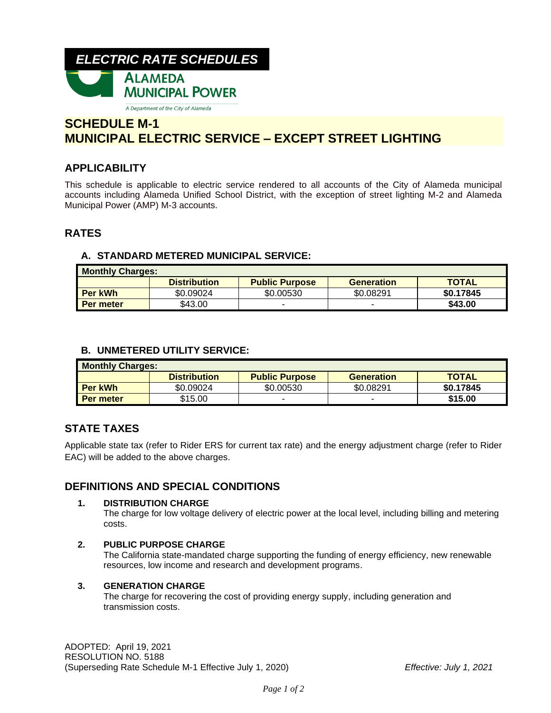

# **SCHEDULE M-1 MUNICIPAL ELECTRIC SERVICE – EXCEPT STREET LIGHTING**

# **APPLICABILITY**

This schedule is applicable to electric service rendered to all accounts of the City of Alameda municipal accounts including Alameda Unified School District, with the exception of street lighting M-2 and Alameda Municipal Power (AMP) M-3 accounts.

# **RATES**

## **A. STANDARD METERED MUNICIPAL SERVICE:**

| <b>Monthly Charges:</b> |                     |                       |                   |              |  |  |
|-------------------------|---------------------|-----------------------|-------------------|--------------|--|--|
|                         | <b>Distribution</b> | <b>Public Purpose</b> | <b>Generation</b> | <b>TOTAL</b> |  |  |
| <b>Per kWh</b>          | \$0.09024           | \$0.00530             | \$0.08291         | \$0.17845    |  |  |
| <b>Per meter</b>        | \$43.00             |                       |                   | \$43.00      |  |  |

## **B. UNMETERED UTILITY SERVICE:**

| <b>Monthly Charges:</b> |                     |                       |                   |              |  |  |
|-------------------------|---------------------|-----------------------|-------------------|--------------|--|--|
|                         | <b>Distribution</b> | <b>Public Purpose</b> | <b>Generation</b> | <b>TOTAL</b> |  |  |
| <b>Per kWh</b>          | \$0.09024           | \$0.00530             | \$0.08291         | \$0.17845    |  |  |
| Per meter               | \$15.00             |                       | -                 | \$15.00      |  |  |

# **STATE TAXES**

Applicable state tax (refer to Rider ERS for current tax rate) and the energy adjustment charge (refer to Rider EAC) will be added to the above charges.

# **DEFINITIONS AND SPECIAL CONDITIONS**

#### **1. DISTRIBUTION CHARGE**

The charge for low voltage delivery of electric power at the local level, including billing and metering costs.

### **2. PUBLIC PURPOSE CHARGE**

The California state-mandated charge supporting the funding of energy efficiency, new renewable resources, low income and research and development programs.

#### **3. GENERATION CHARGE**

The charge for recovering the cost of providing energy supply, including generation and transmission costs.